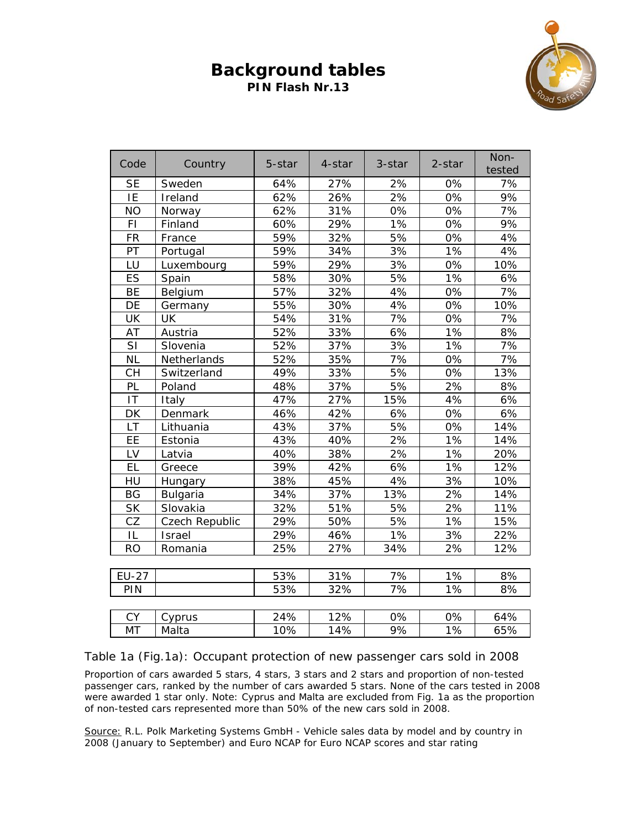## **Background tables PIN Flash Nr.13**



| Code                   | Country         | 5-star | 4-star | 3-star          | 2-star | Non-<br>tested |
|------------------------|-----------------|--------|--------|-----------------|--------|----------------|
| <b>SE</b>              | Sweden          | 64%    | 27%    | 2%              | 0%     | 7%             |
| IE                     | Ireland         | 62%    | 26%    | 2%              | 0%     | 9%             |
| <b>NO</b>              | Norway          | 62%    | 31%    | 0%              | 0%     | 7%             |
| FI                     | Finland         | 60%    | 29%    | 1%              | 0%     | 9%             |
| <b>FR</b>              | France          | 59%    | 32%    | 5%              | 0%     | 4%             |
| PT                     | Portugal        | 59%    | 34%    | 3%              | 1%     | 4%             |
| LU                     | Luxembourg      | 59%    | 29%    | 3%              | 0%     | 10%            |
| ES                     | Spain           | 58%    | 30%    | 5%              | 1%     | 6%             |
| <b>BE</b>              | Belgium         | 57%    | 32%    | 4%              | 0%     | 7%             |
| DE                     | Germany         | 55%    | 30%    | 4%              | 0%     | 10%            |
| UK                     | <b>UK</b>       | 54%    | 31%    | 7%              | 0%     | 7%             |
| AT                     | Austria         | 52%    | 33%    | 6%              | 1%     | 8%             |
| SI                     | Slovenia        | 52%    | 37%    | 3%              | 1%     | 7%             |
| <b>NL</b>              | Netherlands     | 52%    | 35%    | 7%              | 0%     | 7%             |
| <b>CH</b>              | Switzerland     | 49%    | 33%    | 5%              | 0%     | 13%            |
| PL                     | Poland          | 48%    | 37%    | 5%              | 2%     | 8%             |
| $\mathsf{I}\mathsf{T}$ | Italy           | 47%    | 27%    | 15%             | 4%     | 6%             |
| DK                     | Denmark         | 46%    | 42%    | 6%              | 0%     | 6%             |
| <b>LT</b>              | Lithuania       | 43%    | 37%    | 5%              | 0%     | 14%            |
| EE                     | Estonia         | 43%    | 40%    | 2%              | 1%     | 14%            |
| LV                     | Latvia          | 40%    | 38%    | 2%              | 1%     | 20%            |
| EL                     | Greece          | 39%    | 42%    | 6%              | 1%     | 12%            |
| HU                     | Hungary         | 38%    | 45%    | 4%              | 3%     | 10%            |
| <b>BG</b>              | <b>Bulgaria</b> | 34%    | 37%    | 13%             | 2%     | 14%            |
| <b>SK</b>              | Slovakia        | 32%    | 51%    | 5%              | 2%     | 11%            |
| CZ                     | Czech Republic  | 29%    | 50%    | 5%              | 1%     | 15%            |
| IL                     | Israel          | 29%    | 46%    | 1%              | 3%     | 22%            |
| <b>RO</b>              | Romania         | 25%    | 27%    | 34%             | 2%     | 12%            |
|                        |                 |        |        |                 |        |                |
| <b>EU-27</b>           |                 | 53%    | 31%    | 7%              | 1%     | 8%             |
| PIN                    |                 | 53%    | 32%    | 7%              | 1%     | 8%             |
|                        |                 |        |        |                 |        |                |
| <b>CY</b>              | Cyprus          | 24%    | 12%    | 0%              | 0%     | 64%            |
| <b>MT</b>              | Malta           | 10%    | 14%    | $\frac{1}{9\%}$ | $1\%$  | 65%            |

Table 1a (Fig.1a): Occupant protection of new passenger cars sold in 2008

Proportion of cars awarded 5 stars, 4 stars, 3 stars and 2 stars and proportion of non-tested passenger cars, ranked by the number of cars awarded 5 stars. None of the cars tested in 2008 were awarded 1 star only. *Note: Cyprus and Malta are excluded from Fig. 1a as the proportion of non-tested cars represented more than 50% of the new cars sold in 2008.*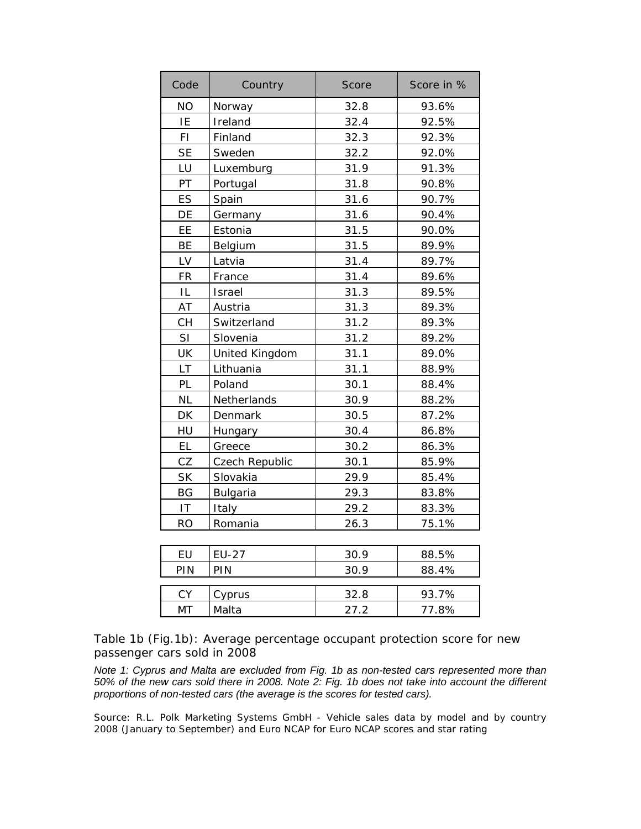| ΝO<br>32.8<br>Norway                               | 93.6%          |
|----------------------------------------------------|----------------|
| IE<br>32.4<br>Ireland                              | 92.5%          |
| FI.<br>Finland<br>32.3                             | 92.3%          |
| <b>SE</b><br>Sweden<br>32.2                        | 92.0%          |
| LU<br>Luxemburg<br>31.9                            | 91.3%          |
| PT<br>31.8<br>Portugal                             | 90.8%          |
| ES<br>31.6<br>Spain                                | 90.7%          |
| DE<br>31.6<br>Germany                              | 90.4%          |
| EE<br>Estonia<br>31.5                              | 90.0%          |
| <b>BE</b><br>31.5<br>Belgium                       | 89.9%          |
| LV<br>Latvia<br>31.4                               | 89.7%          |
| <b>FR</b><br>France<br>31.4                        | 89.6%          |
| IL<br>Israel<br>31.3                               | 89.5%          |
| AT<br>Austria<br>31.3                              | 89.3%          |
| CH<br>31.2<br>Switzerland                          | 89.3%          |
| SI<br>31.2<br>Slovenia                             | 89.2%          |
| UK<br>United Kingdom<br>31.1                       | 89.0%          |
| LT<br>Lithuania<br>31.1                            | 88.9%          |
| PL<br>Poland<br>30.1                               | 88.4%          |
| <b>NL</b><br>Netherlands<br>30.9                   | 88.2%          |
| DK<br>Denmark<br>30.5                              | 87.2%          |
| HU<br>30.4<br>Hungary                              | 86.8%          |
| <b>EL</b><br>30.2<br>Greece                        | 86.3%          |
| CZ<br>30.1<br>Czech Republic                       | 85.9%          |
| <b>SK</b><br>29.9<br>Slovakia                      | 85.4%          |
| <b>BG</b><br>Bulgaria<br>29.3                      | 83.8%          |
| $\mathsf{I}\mathsf{T}$<br>Italy<br>29.2            | 83.3%          |
| <b>RO</b><br>Romania<br>26.3                       | 75.1%          |
|                                                    |                |
| EU<br><b>EU-27</b><br>30.9                         | 88.5%          |
| PIN<br>PIN<br>30.9                                 | 88.4%          |
|                                                    |                |
| CY<br>32.8<br>Cyprus<br><b>MT</b><br>Malta<br>27.2 | 93.7%<br>77.8% |

Table 1b (Fig.1b): Average percentage occupant protection score for new passenger cars sold in 2008

*Note 1: Cyprus and Malta are excluded from Fig. 1b as non-tested cars represented more than 50% of the new cars sold there in 2008. Note 2: Fig. 1b does not take into account the different proportions of non-tested cars (the average is the scores for tested cars).*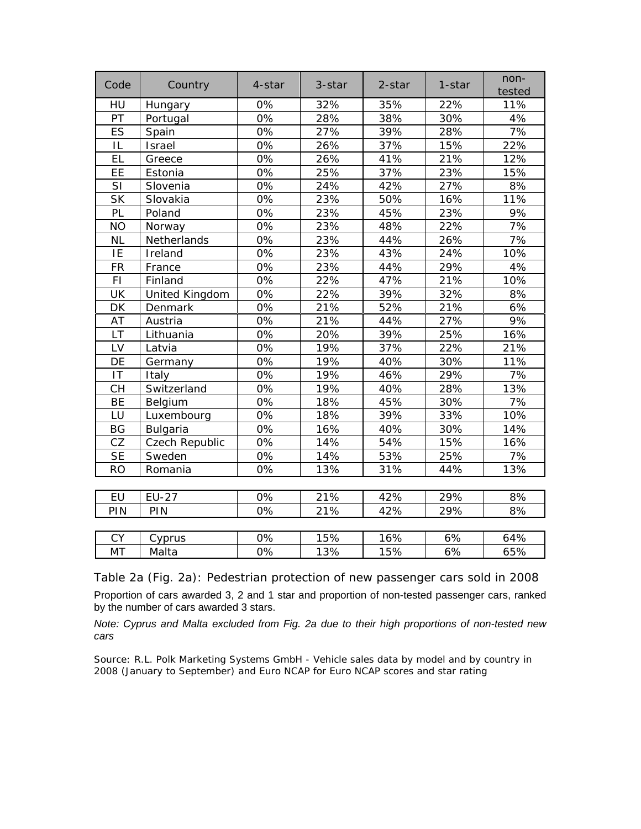| Code           | Country        | 4-star           | 3-star | 2-star | 1-star | non-<br>tested |
|----------------|----------------|------------------|--------|--------|--------|----------------|
| HU             | Hungary        | 0%               | 32%    | 35%    | 22%    | 11%            |
| PT             | Portugal       | 0%               | 28%    | 38%    | 30%    | 4%             |
| ES             | Spain          | 0%               | 27%    | 39%    | 28%    | 7%             |
| IL             | Israel         | 0%               | 26%    | 37%    | 15%    | 22%            |
| EL             | Greece         | 0%               | 26%    | 41%    | 21%    | 12%            |
| EE             | Estonia        | 0%               | 25%    | 37%    | 23%    | 15%            |
| SI             | Slovenia       | 0%               | 24%    | 42%    | 27%    | 8%             |
| <b>SK</b>      | Slovakia       | 0%               | 23%    | 50%    | 16%    | 11%            |
| PL             | Poland         | 0%               | 23%    | 45%    | 23%    | 9%             |
| <b>NO</b>      | Norway         | 0%               | 23%    | 48%    | 22%    | 7%             |
| <b>NL</b>      | Netherlands    | 0%               | 23%    | 44%    | 26%    | 7%             |
| IE             | Ireland        | 0%               | 23%    | 43%    | 24%    | 10%            |
| <b>FR</b>      | France         | 0%               | 23%    | 44%    | 29%    | 4%             |
| F <sub>1</sub> | Finland        | 0%               | 22%    | 47%    | 21%    | 10%            |
| UK             | United Kingdom | 0%               | 22%    | 39%    | 32%    | 8%             |
| DK             | Denmark        | 0%               | 21%    | 52%    | 21%    | 6%             |
| AT             | Austria        | 0%               | 21%    | 44%    | 27%    | 9%             |
| LT             | Lithuania      | 0%               | 20%    | 39%    | 25%    | 16%            |
| LV             | Latvia         | 0%               | 19%    | 37%    | 22%    | 21%            |
| DE             | Germany        | 0%               | 19%    | 40%    | 30%    | 11%            |
| IT             | Italy          | 0%               | 19%    | 46%    | 29%    | 7%             |
| <b>CH</b>      | Switzerland    | 0%               | 19%    | 40%    | 28%    | 13%            |
| <b>BE</b>      | Belgium        | 0%               | 18%    | 45%    | 30%    | 7%             |
| LU             | Luxembourg     | 0%               | 18%    | 39%    | 33%    | 10%            |
| <b>BG</b>      | Bulgaria       | 0%               | 16%    | 40%    | 30%    | 14%            |
| CZ             | Czech Republic | 0%               | 14%    | 54%    | 15%    | 16%            |
| <b>SE</b>      | Sweden         | 0%               | 14%    | 53%    | 25%    | 7%             |
| <b>RO</b>      | Romania        | 0%               | 13%    | 31%    | 44%    | 13%            |
|                |                |                  |        |        |        |                |
| <b>EU</b>      | <b>EU-27</b>   | 0%               | 21%    | 42%    | 29%    | 8%             |
| PIN            | PIN            | 0%               | 21%    | 42%    | 29%    | 8%             |
|                |                |                  |        |        |        |                |
| <b>CY</b>      | Cyprus         | 0%               | 15%    | 16%    | 6%     | 64%            |
| <b>MT</b>      | Malta          | $\overline{0\%}$ | 13%    | 15%    | 6%     | 65%            |

Table 2a (Fig. 2a): Pedestrian protection of new passenger cars sold in 2008

Proportion of cars awarded 3, 2 and 1 star and proportion of non-tested passenger cars, ranked by the number of cars awarded 3 stars.

*Note: Cyprus and Malta excluded from Fig. 2a due to their high proportions of non-tested new cars*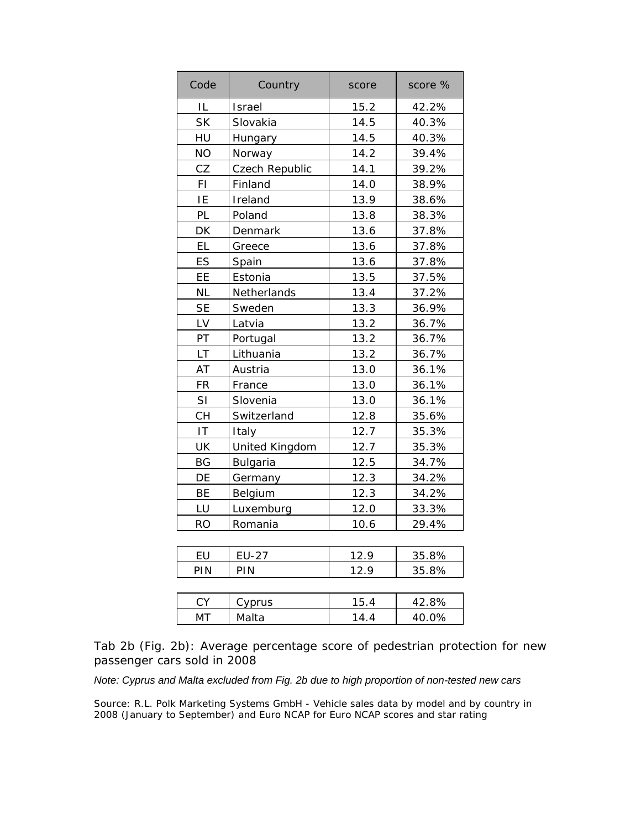| Code      | Country         | score | score % |
|-----------|-----------------|-------|---------|
| IL        | Israel          | 15.2  | 42.2%   |
| <b>SK</b> | Slovakia        | 14.5  | 40.3%   |
| HU        | Hungary         | 14.5  | 40.3%   |
| <b>NO</b> | Norway          | 14.2  | 39.4%   |
| CZ        | Czech Republic  | 14.1  | 39.2%   |
| FI        | Finland         | 14.0  | 38.9%   |
| IE        | Ireland         | 13.9  | 38.6%   |
| PL        | Poland          | 13.8  | 38.3%   |
| DK        | Denmark         | 13.6  | 37.8%   |
| EL        | Greece          | 13.6  | 37.8%   |
| ES        | Spain           | 13.6  | 37.8%   |
| EE        | Estonia         | 13.5  | 37.5%   |
| <b>NL</b> | Netherlands     | 13.4  | 37.2%   |
| <b>SE</b> | Sweden          | 13.3  | 36.9%   |
| LV        | Latvia          | 13.2  | 36.7%   |
| PT        | Portugal        | 13.2  | 36.7%   |
| LT        | Lithuania       | 13.2  | 36.7%   |
| AT        | Austria         | 13.0  | 36.1%   |
| <b>FR</b> | France          | 13.0  | 36.1%   |
| SI        | Slovenia        | 13.0  | 36.1%   |
| <b>CH</b> | Switzerland     | 12.8  | 35.6%   |
| IT        | Italy           | 12.7  | 35.3%   |
| UK        | United Kingdom  | 12.7  | 35.3%   |
| BG        | <b>Bulgaria</b> | 12.5  | 34.7%   |
| DE        | Germany         | 12.3  | 34.2%   |
| BE        | Belgium         | 12.3  | 34.2%   |
| LU        | Luxemburg       | 12.0  | 33.3%   |
| <b>RO</b> | Romania         | 10.6  | 29.4%   |
|           |                 |       |         |
| EU        | <b>EU-27</b>    | 12.9  | 35.8%   |
| PIN       | PIN             | 12.9  | 35.8%   |
|           |                 |       |         |
| CY        | Cyprus          | 15.4  | 42.8%   |
| МT        | Malta           | 14.4  | 40.0%   |

Tab 2b (Fig. 2b): Average percentage score of pedestrian protection for new passenger cars sold in 2008

*Note: Cyprus and Malta excluded from Fig. 2b due to high proportion of non-tested new cars*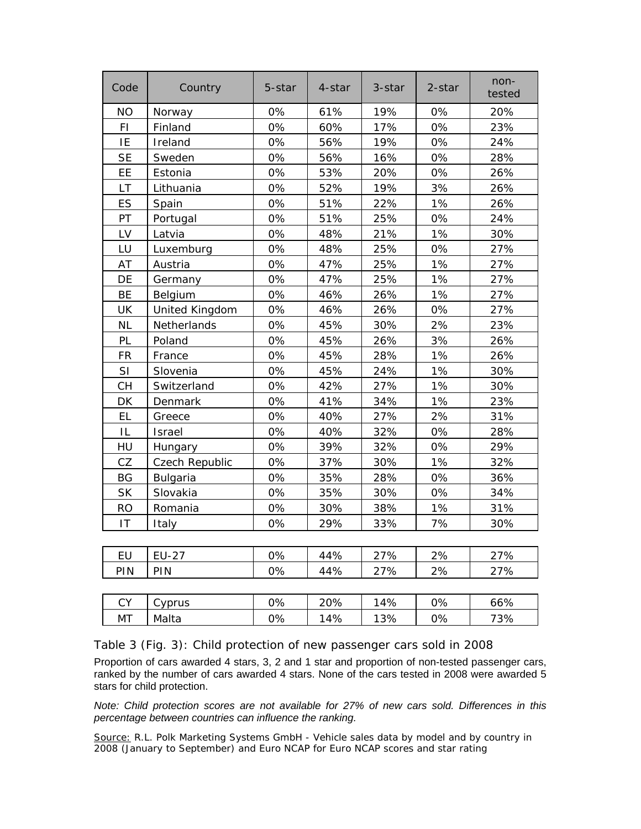| Code      | Country        | 5-star | 4-star | 3-star | 2-star | non-<br>tested |
|-----------|----------------|--------|--------|--------|--------|----------------|
| <b>NO</b> | Norway         | 0%     | 61%    | 19%    | 0%     | 20%            |
| FI        | Finland        | 0%     | 60%    | 17%    | 0%     | 23%            |
| IE        | Ireland        | 0%     | 56%    | 19%    | 0%     | 24%            |
| <b>SE</b> | Sweden         | 0%     | 56%    | 16%    | 0%     | 28%            |
| EE        | Estonia        | 0%     | 53%    | 20%    | 0%     | 26%            |
| LT        | Lithuania      | 0%     | 52%    | 19%    | 3%     | 26%            |
| ES        | Spain          | 0%     | 51%    | 22%    | 1%     | 26%            |
| PT        | Portugal       | 0%     | 51%    | 25%    | 0%     | 24%            |
| LV        | Latvia         | 0%     | 48%    | 21%    | 1%     | 30%            |
| LU        | Luxemburg      | 0%     | 48%    | 25%    | 0%     | 27%            |
| AT        | Austria        | 0%     | 47%    | 25%    | 1%     | 27%            |
| DE        | Germany        | 0%     | 47%    | 25%    | 1%     | 27%            |
| BE        | Belgium        | 0%     | 46%    | 26%    | 1%     | 27%            |
| UK        | United Kingdom | 0%     | 46%    | 26%    | 0%     | 27%            |
| <b>NL</b> | Netherlands    | 0%     | 45%    | 30%    | 2%     | 23%            |
| PL        | Poland         | 0%     | 45%    | 26%    | 3%     | 26%            |
| <b>FR</b> | France         | 0%     | 45%    | 28%    | 1%     | 26%            |
| SI        | Slovenia       | 0%     | 45%    | 24%    | 1%     | 30%            |
| <b>CH</b> | Switzerland    | 0%     | 42%    | 27%    | 1%     | 30%            |
| DK        | Denmark        | 0%     | 41%    | 34%    | 1%     | 23%            |
| EL        | Greece         | 0%     | 40%    | 27%    | 2%     | 31%            |
| IL        | <b>Israel</b>  | 0%     | 40%    | 32%    | 0%     | 28%            |
| HU        | Hungary        | 0%     | 39%    | 32%    | 0%     | 29%            |
| CZ        | Czech Republic | 0%     | 37%    | 30%    | 1%     | 32%            |
| <b>BG</b> | Bulgaria       | 0%     | 35%    | 28%    | 0%     | 36%            |
| <b>SK</b> | Slovakia       | 0%     | 35%    | 30%    | 0%     | 34%            |
| <b>RO</b> | Romania        | 0%     | 30%    | 38%    | 1%     | 31%            |
| IT        | Italy          | 0%     | 29%    | 33%    | 7%     | 30%            |
|           |                |        |        |        |        |                |
| EU        | <b>EU-27</b>   | 0%     | 44%    | 27%    | 2%     | 27%            |
| PIN       | PIN            | 0%     | 44%    | 27%    | 2%     | 27%            |
|           |                |        |        |        |        |                |
| <b>CY</b> | Cyprus         | 0%     | 20%    | 14%    | 0%     | 66%            |
| МT        | Malta          | 0%     | 14%    | 13%    | 0%     | 73%            |

Table 3 (Fig. 3): Child protection of new passenger cars sold in 2008

Proportion of cars awarded 4 stars, 3, 2 and 1 star and proportion of non-tested passenger cars, ranked by the number of cars awarded 4 stars. None of the cars tested in 2008 were awarded 5 stars for child protection.

*Note: Child protection scores are not available for 27% of new cars sold. Differences in this percentage between countries can influence the ranking.*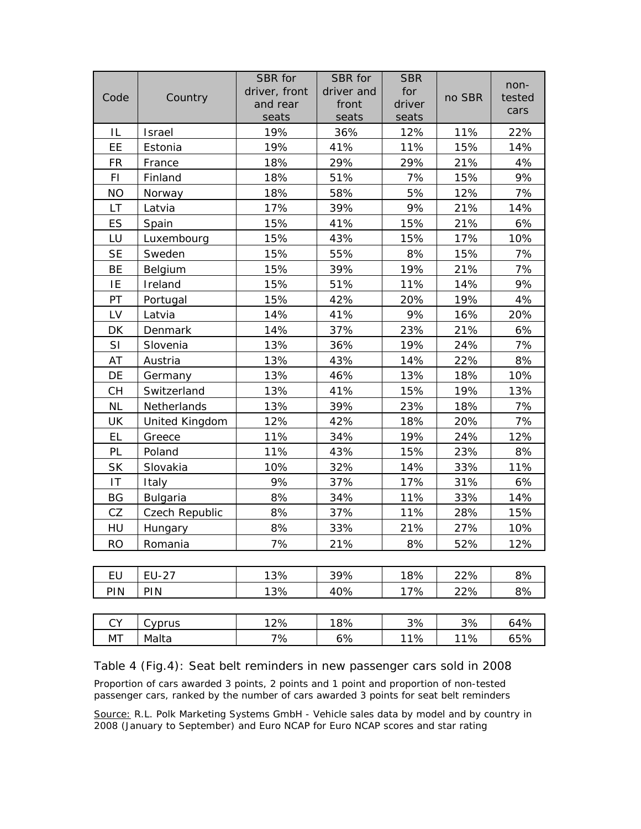| Code      | Country        | SBR for<br>driver, front<br>and rear<br>seats | SBR for<br>driver and<br>front<br>seats | <b>SBR</b><br>for<br>driver<br>seats | no SBR | non-<br>tested<br>cars |
|-----------|----------------|-----------------------------------------------|-----------------------------------------|--------------------------------------|--------|------------------------|
| IL        | Israel         | 19%                                           | 36%                                     | 12%                                  | 11%    | 22%                    |
| EE        | Estonia        | 19%                                           | 41%                                     | 11%                                  | 15%    | 14%                    |
| <b>FR</b> | France         | 18%                                           | 29%                                     | 29%                                  | 21%    | 4%                     |
| FI        | Finland        | 18%                                           | 51%                                     | 7%                                   | 15%    | 9%                     |
| <b>NO</b> | Norway         | 18%                                           | 58%                                     | 5%                                   | 12%    | 7%                     |
| <b>LT</b> | Latvia         | 17%                                           | 39%                                     | 9%                                   | 21%    | 14%                    |
| ES        | Spain          | 15%                                           | 41%                                     | 15%                                  | 21%    | 6%                     |
| LU        | Luxembourg     | 15%                                           | 43%                                     | 15%                                  | 17%    | 10%                    |
| <b>SE</b> | Sweden         | 15%                                           | 55%                                     | 8%                                   | 15%    | 7%                     |
| BE        | Belgium        | 15%                                           | 39%                                     | 19%                                  | 21%    | 7%                     |
| IE        | Ireland        | 15%                                           | 51%                                     | 11%                                  | 14%    | 9%                     |
| PT        | Portugal       | 15%                                           | 42%                                     | 20%                                  | 19%    | 4%                     |
| LV        | Latvia         | 14%                                           | 41%                                     | 9%                                   | 16%    | 20%                    |
| DK        | Denmark        | 14%                                           | 37%                                     | 23%                                  | 21%    | 6%                     |
| SI        | Slovenia       | 13%                                           | 36%                                     | 19%                                  | 24%    | 7%                     |
| AT        | Austria        | 13%                                           | 43%                                     | 14%                                  | 22%    | 8%                     |
| DE        | Germany        | 13%                                           | 46%                                     | 13%                                  | 18%    | 10%                    |
| <b>CH</b> | Switzerland    | 13%                                           | 41%                                     | 15%                                  | 19%    | 13%                    |
| <b>NL</b> | Netherlands    | 13%                                           | 39%                                     | 23%                                  | 18%    | 7%                     |
| UK        | United Kingdom | 12%                                           | 42%                                     | 18%                                  | 20%    | 7%                     |
| <b>EL</b> | Greece         | 11%                                           | 34%                                     | 19%                                  | 24%    | 12%                    |
| PL        | Poland         | 11%                                           | 43%                                     | 15%                                  | 23%    | 8%                     |
| <b>SK</b> | Slovakia       | 10%                                           | 32%                                     | 14%                                  | 33%    | 11%                    |
| IT        | Italy          | 9%                                            | 37%                                     | 17%                                  | 31%    | 6%                     |
| BG        | Bulgaria       | 8%                                            | 34%                                     | 11%                                  | 33%    | 14%                    |
| CZ        | Czech Republic | 8%                                            | 37%                                     | 11%                                  | 28%    | 15%                    |
| HU        | Hungary        | 8%                                            | 33%                                     | 21%                                  | 27%    | 10%                    |
| <b>RO</b> | Romania        | 7%                                            | 21%                                     | 8%                                   | 52%    | 12%                    |
|           |                |                                               |                                         |                                      |        |                        |
| <b>EU</b> | <b>EU-27</b>   | 13%                                           | 39%                                     | 18%                                  | 22%    | 8%                     |
| PIN       | PIN            | 13%                                           | 40%                                     | 17%                                  | 22%    | 8%                     |

| rν<br>◡ | Cyprus | 12% | 18%     | 3%  | 3%  | 64% |
|---------|--------|-----|---------|-----|-----|-----|
| MT      | Malta  | 7%  | ∙%<br>ັ | 11% | 11% | 65% |

Table 4 (Fig.4): Seat belt reminders in new passenger cars sold in 2008

Proportion of cars awarded 3 points, 2 points and 1 point and proportion of non-tested passenger cars, ranked by the number of cars awarded 3 points for seat belt reminders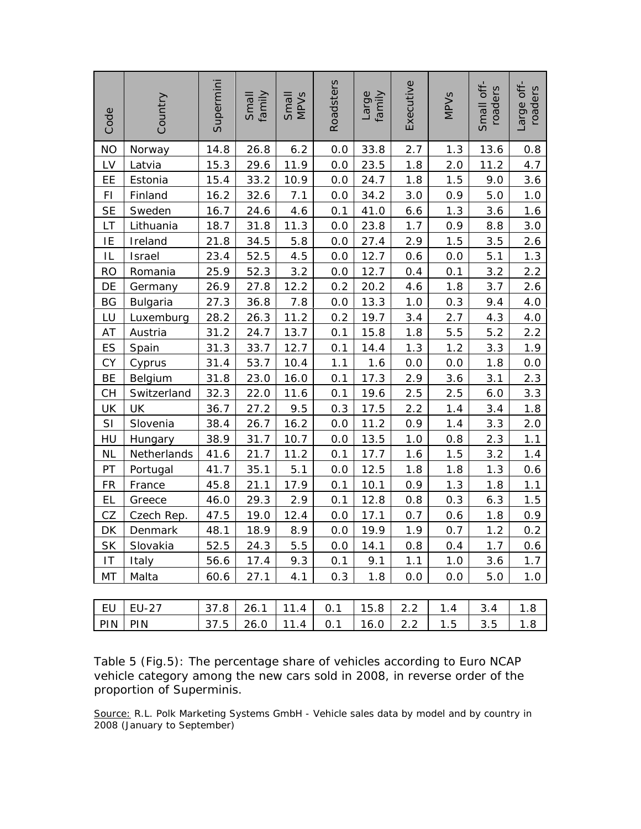| Code      | Country         | Supermini | family<br>Small | Small<br>MPV <sub>S</sub> | Roadsters | family<br>Large | Executive | <b>MPV<sub>S</sub></b> | Small off-<br>roaders | Large off-<br>roaders |
|-----------|-----------------|-----------|-----------------|---------------------------|-----------|-----------------|-----------|------------------------|-----------------------|-----------------------|
| <b>NO</b> | Norway          | 14.8      | 26.8            | 6.2                       | 0.0       | 33.8            | 2.7       | 1.3                    | 13.6                  | 0.8                   |
| LV        | Latvia          | 15.3      | 29.6            | 11.9                      | 0.0       | 23.5            | 1.8       | 2.0                    | 11.2                  | 4.7                   |
| EE        | Estonia         | 15.4      | 33.2            | 10.9                      | 0.0       | 24.7            | 1.8       | 1.5                    | 9.0                   | 3.6                   |
| FI        | Finland         | 16.2      | 32.6            | 7.1                       | 0.0       | 34.2            | 3.0       | 0.9                    | 5.0                   | 1.0                   |
| <b>SE</b> | Sweden          | 16.7      | 24.6            | 4.6                       | 0.1       | 41.0            | 6.6       | 1.3                    | 3.6                   | 1.6                   |
| LT        | Lithuania       | 18.7      | 31.8            | 11.3                      | 0.0       | 23.8            | 1.7       | 0.9                    | 8.8                   | 3.0                   |
| IE        | Ireland         | 21.8      | 34.5            | 5.8                       | 0.0       | 27.4            | 2.9       | 1.5                    | 3.5                   | 2.6                   |
| IL        | Israel          | 23.4      | 52.5            | 4.5                       | 0.0       | 12.7            | 0.6       | 0.0                    | 5.1                   | 1.3                   |
| <b>RO</b> | Romania         | 25.9      | 52.3            | 3.2                       | 0.0       | 12.7            | 0.4       | 0.1                    | 3.2                   | 2.2                   |
| DE        | Germany         | 26.9      | 27.8            | 12.2                      | 0.2       | 20.2            | 4.6       | 1.8                    | 3.7                   | 2.6                   |
| BG        | <b>Bulgaria</b> | 27.3      | 36.8            | 7.8                       | 0.0       | 13.3            | 1.0       | 0.3                    | 9.4                   | 4.0                   |
| LU        | Luxemburg       | 28.2      | 26.3            | 11.2                      | 0.2       | 19.7            | 3.4       | 2.7                    | 4.3                   | 4.0                   |
| AT        | Austria         | 31.2      | 24.7            | 13.7                      | 0.1       | 15.8            | 1.8       | 5.5                    | 5.2                   | 2.2                   |
| ES        | Spain           | 31.3      | 33.7            | 12.7                      | 0.1       | 14.4            | 1.3       | 1.2                    | 3.3                   | 1.9                   |
| CY        | Cyprus          | 31.4      | 53.7            | 10.4                      | 1.1       | 1.6             | 0.0       | 0.0                    | 1.8                   | 0.0                   |
| BE        | Belgium         | 31.8      | 23.0            | 16.0                      | 0.1       | 17.3            | 2.9       | 3.6                    | 3.1                   | 2.3                   |
| <b>CH</b> | Switzerland     | 32.3      | 22.0            | 11.6                      | 0.1       | 19.6            | 2.5       | 2.5                    | 6.0                   | 3.3                   |
| UK        | UK              | 36.7      | 27.2            | 9.5                       | 0.3       | 17.5            | 2.2       | 1.4                    | 3.4                   | 1.8                   |
| SI        | Slovenia        | 38.4      | 26.7            | 16.2                      | 0.0       | 11.2            | 0.9       | 1.4                    | 3.3                   | 2.0                   |
| HU        | Hungary         | 38.9      | 31.7            | 10.7                      | 0.0       | 13.5            | 1.0       | 0.8                    | 2.3                   | 1.1                   |
| <b>NL</b> | Netherlands     | 41.6      | 21.7            | 11.2                      | 0.1       | 17.7            | 1.6       | 1.5                    | 3.2                   | 1.4                   |
| PT        | Portugal        | 41.7      | 35.1            | 5.1                       | 0.0       | 12.5            | 1.8       | 1.8                    | 1.3                   | 0.6                   |
| <b>FR</b> | France          | 45.8      | 21.1            | 17.9                      | 0.1       | 10.1            | 0.9       | 1.3                    | 1.8                   | 1.1                   |
| EL        | Greece          | 46.0      | 29.3            | 2.9                       | 0.1       | 12.8            | 0.8       | 0.3                    | 6.3                   | 1.5                   |
| CZ        | Czech Rep.      | 47.5      | 19.0            | 12.4                      | $0.0\,$   | 17.1            | 0.7       | 0.6                    | 1.8                   | 0.9                   |
| DK        | Denmark         | 48.1      | 18.9            | 8.9                       | 0.0       | 19.9            | 1.9       | 0.7                    | 1.2                   | 0.2                   |
| <b>SK</b> | Slovakia        | 52.5      | 24.3            | 5.5                       | 0.0       | 14.1            | 0.8       | 0.4                    | 1.7                   | 0.6                   |
| IT        | Italy           | 56.6      | 17.4            | 9.3                       | 0.1       | 9.1             | 1.1       | 1.0                    | 3.6                   | 1.7                   |
| МT        | Malta           | 60.6      | 27.1            | 4.1                       | 0.3       | 1.8             | 0.0       | 0.0                    | 5.0                   | 1.0                   |
|           |                 |           |                 |                           |           |                 |           |                        |                       |                       |
| EU        | EU-27           | 37.8      | 26.1            | 11.4                      | 0.1       | 15.8            | 2.2       | 1.4                    | 3.4                   | 1.8                   |
| PIN       | PIN             | 37.5      | 26.0            | 11.4                      | 0.1       | 16.0            | 2.2       | 1.5                    | 3.5                   | 1.8                   |

Table 5 (Fig.5): The percentage share of vehicles according to Euro NCAP vehicle category among the new cars sold in 2008, in reverse order of the proportion of Superminis.

Source: R.L. Polk Marketing Systems GmbH - Vehicle sales data by model and by country in 2008 (January to September)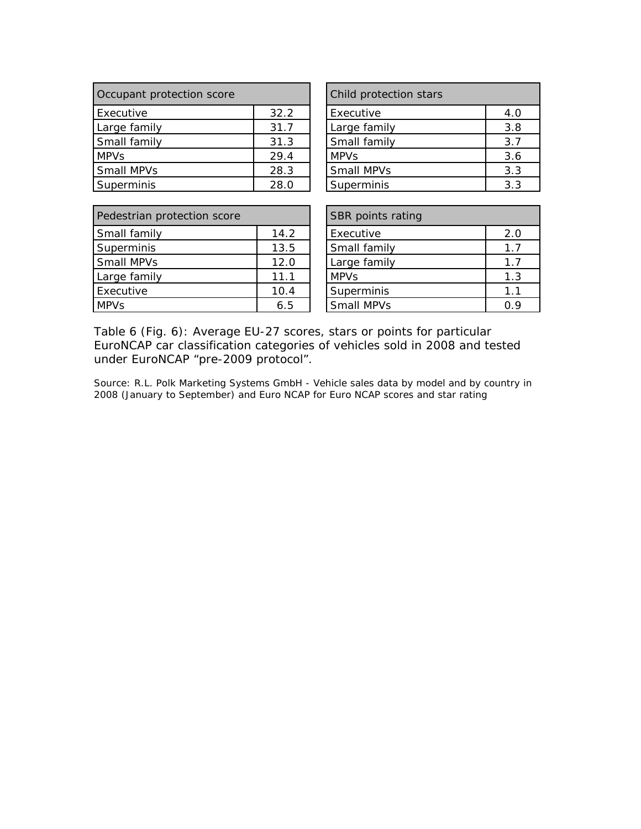| Occupant protection score |      | Child protection stars |     |  |
|---------------------------|------|------------------------|-----|--|
| Executive                 | 32.2 | Executive              | 4.0 |  |
| Large family              | 31.7 | Large family           | 3.8 |  |
| Small family              | 31.3 | Small family           | 3.7 |  |
| <b>MPVs</b>               | 29.4 | <b>MPV<sub>S</sub></b> | 3.6 |  |
| <b>Small MPVs</b>         | 28.3 | Small MPVs             | 3.3 |  |
| Superminis                | 28.0 | Superminis             | 3.3 |  |

| Child protection stars |     |  |  |  |  |
|------------------------|-----|--|--|--|--|
| Executive              | 4.0 |  |  |  |  |
| Large family           | 3.8 |  |  |  |  |
| Small family           | 3.7 |  |  |  |  |
| <b>MPVs</b>            | 3.6 |  |  |  |  |
| Small MPVs             | 3.3 |  |  |  |  |
| Superminis             | 3.3 |  |  |  |  |

| Pedestrian protection score |      | <b>SBR</b> points rating |     |
|-----------------------------|------|--------------------------|-----|
| Small family                | 14.2 | Executive                | 2.0 |
| Superminis                  | 13.5 | Small family             | 1.7 |
| <b>Small MPVs</b>           | 12.0 | Large family             | 1.7 |
| Large family                | 11.1 | <b>MPVs</b>              | 1.3 |
| Executive                   | 10.4 | Superminis               | 1.1 |
| <b>MPVs</b>                 | 6.5  | Small MPVs               | 0.9 |

| SBR points rating      |     |  |  |  |
|------------------------|-----|--|--|--|
| Executive              | 2.0 |  |  |  |
| Small family           | 1.7 |  |  |  |
| Large family           | 1.7 |  |  |  |
| <b>MPV<sub>S</sub></b> | 1.3 |  |  |  |
| Superminis             | 1.1 |  |  |  |
| Small MPVs             | በ ዓ |  |  |  |

Table 6 (Fig. 6): Average EU-27 scores, stars or points for particular EuroNCAP car classification categories of vehicles sold in 2008 and tested under EuroNCAP "pre-2009 protocol".